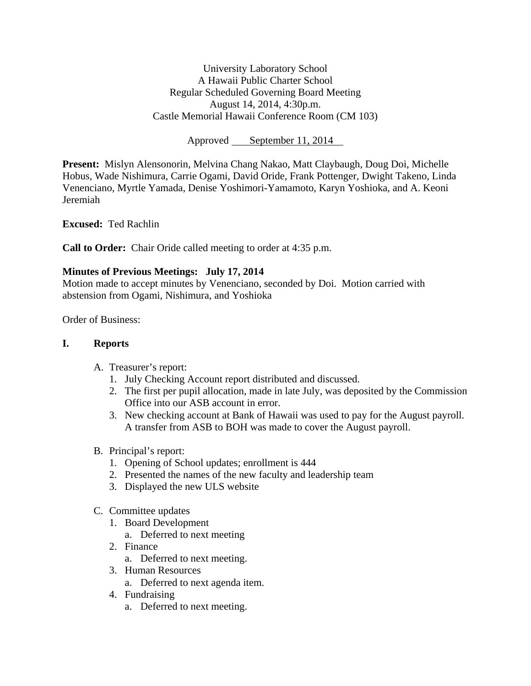University Laboratory School A Hawaii Public Charter School Regular Scheduled Governing Board Meeting August 14, 2014, 4:30p.m. Castle Memorial Hawaii Conference Room (CM 103)

Approved September 11, 2014

**Present:** Mislyn Alensonorin, Melvina Chang Nakao, Matt Claybaugh, Doug Doi, Michelle Hobus, Wade Nishimura, Carrie Ogami, David Oride, Frank Pottenger, Dwight Takeno, Linda Venenciano, Myrtle Yamada, Denise Yoshimori-Yamamoto, Karyn Yoshioka, and A. Keoni Jeremiah

**Excused:** Ted Rachlin

**Call to Order:** Chair Oride called meeting to order at 4:35 p.m.

# **Minutes of Previous Meetings: July 17, 2014**

Motion made to accept minutes by Venenciano, seconded by Doi. Motion carried with abstension from Ogami, Nishimura, and Yoshioka

Order of Business:

#### **I. Reports**

- A. Treasurer's report:
	- 1. July Checking Account report distributed and discussed.
	- 2. The first per pupil allocation, made in late July, was deposited by the Commission Office into our ASB account in error.
	- 3. New checking account at Bank of Hawaii was used to pay for the August payroll. A transfer from ASB to BOH was made to cover the August payroll.
- B. Principal's report:
	- 1. Opening of School updates; enrollment is 444
	- 2. Presented the names of the new faculty and leadership team
	- 3. Displayed the new ULS website
- C. Committee updates
	- 1. Board Development
		- a. Deferred to next meeting
	- 2. Finance
		- a. Deferred to next meeting.
	- 3. Human Resources
		- a. Deferred to next agenda item.
	- 4. Fundraising
		- a. Deferred to next meeting.